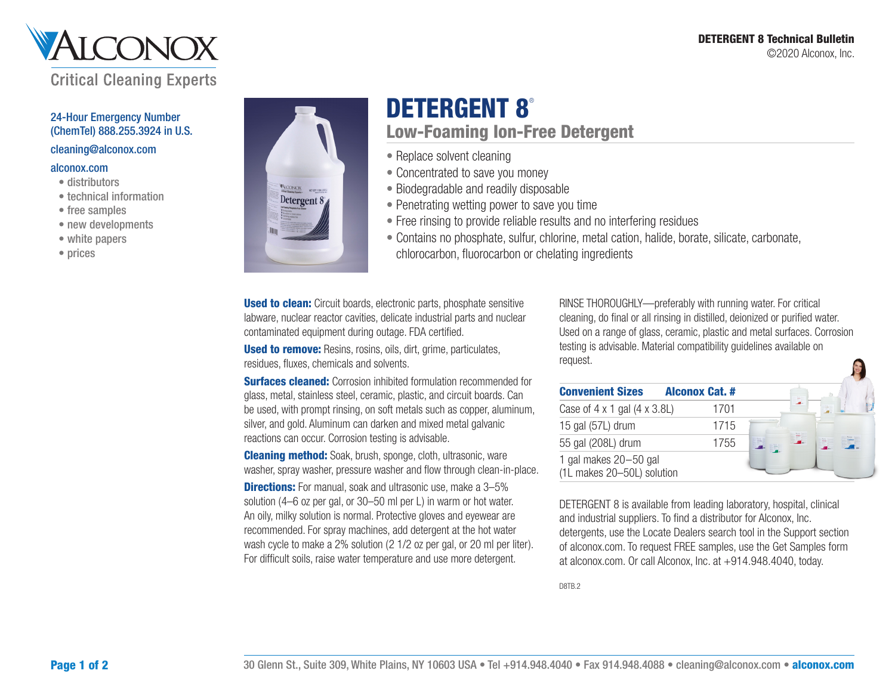

# 24-Hour Emergency Number (ChemTel) 888.255.3924 in U.S.

# cleaning@alconox.com

#### alconox.com

- [distributors](https://alconox.com/)
- technical information
- free samples
- new developments
- white papers
- prices



# DETERGENT 8° [Low-Foaming Ion-Fr](https://alconox.com/detergent-8)ee Detergent

- Replace solvent cleaning
- Concentrated to save you money
- Biodegradable and readily disposable
- Penetrating wetting power to save you time
- Free rinsing to provide reliable results and no interfering residues
- Contains no phosphate, sulfur, chlorine, metal cation, halide, borate, silicate, carbonate, chlorocarbon, fluorocarbon or chelating ingredients

**Used to clean:** Circuit boards, electronic parts, phosphate sensitive labware, nuclear reactor cavities, delicate industrial parts and nuclear contaminated equipment during outage. FDA certified.

**Used to remove:** Resins, rosins, oils, dirt, grime, particulates, residues, fluxes, chemicals and solvents.

**Surfaces cleaned:** Corrosion inhibited formulation recommended for glass, metal, stainless steel, ceramic, plastic, and circuit boards. Can be used, with prompt rinsing, on soft metals such as copper, aluminum, silver, and gold. Aluminum can darken and mixed metal galvanic reactions can occur. Corrosion testing is advisable.

**Cleaning method:** Soak, brush, sponge, cloth, ultrasonic, ware washer, spray washer, pressure washer and flow through clean-in-place.

**Directions:** For manual, soak and ultrasonic use, make a 3–5% solution (4–6 oz per gal, or 30–50 ml per L) in warm or hot water. An oily, milky solution is normal. Protective gloves and eyewear are recommended. For spray machines, add detergent at the hot water wash cycle to make a 2% solution (2 1/2 oz per gal, or 20 ml per liter). For difficult soils, raise water temperature and use more detergent.

RINSE THOROUGHLY—preferably with running water. For critical cleaning, do final or all rinsing in distilled, deionized or purified water. Used on a range of glass, ceramic, plastic and metal surfaces. Corrosion testing is advisable. Material compatibility guidelines available on request.

| <b>Convenient Sizes</b>                             |  | <b>Alconox Cat. #</b> |  |   |
|-----------------------------------------------------|--|-----------------------|--|---|
| Case of $4 \times 1$ gal $(4 \times 3.81)$          |  | 1701                  |  | E |
| 15 gal (57L) drum                                   |  | 1715                  |  |   |
| 55 gal (208L) drum                                  |  | 1755                  |  |   |
| 1 gal makes 20-50 gal<br>(1L makes 20-50L) solution |  |                       |  |   |

DETERGENT 8 is available from leading laboratory, hospital, clinical and industrial suppliers. To find a distributor for Alconox, Inc. detergents, use the Locate Dealers search tool in the Support section of alconox.com. To request FREE samples, use the Get Samples form at alconox.com. Or call Alconox, Inc. at +914.948.4040, today.

D8TB<sub>2</sub>